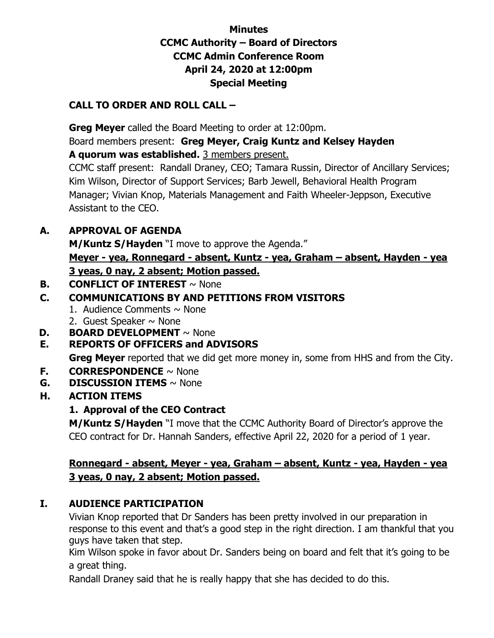# **Minutes CCMC Authority – Board of Directors CCMC Admin Conference Room April 24, 2020 at 12:00pm Special Meeting**

#### **CALL TO ORDER AND ROLL CALL –**

 **Greg Meyer** called the Board Meeting to order at 12:00pm. Board members present: **Greg Meyer, Craig Kuntz and Kelsey Hayden A quorum was established.** 3 members present.

CCMC staff present: Randall Draney, CEO; Tamara Russin, Director of Ancillary Services; Kim Wilson, Director of Support Services; Barb Jewell, Behavioral Health Program Manager; Vivian Knop, Materials Management and Faith Wheeler-Jeppson, Executive Assistant to the CEO.

### **A. APPROVAL OF AGENDA**

**M/Kuntz S/Hayden** "I move to approve the Agenda."

**Meyer - yea, Ronnegard - absent, Kuntz - yea, Graham – absent, Hayden - yea 3 yeas, 0 nay, 2 absent; Motion passed.** 

**B. CONFLICT OF INTEREST** ~ None

# **C. COMMUNICATIONS BY AND PETITIONS FROM VISITORS**

- 1. Audience Comments  $\sim$  None
- 2. Guest Speaker  $\sim$  None
- **D. BOARD DEVELOPMENT**  $\sim$  None

#### **E. REPORTS OF OFFICERS and ADVISORS**

**Greg Meyer** reported that we did get more money in, some from HHS and from the City.

- **F. CORRESPONDENCE** ~ None
- **G. DISCUSSION ITEMS** ~ None
- **H. ACTION ITEMS**

# **1. Approval of the CEO Contract**

**M/Kuntz S/Hayden** "I move that the CCMC Authority Board of Director's approve the CEO contract for Dr. Hannah Sanders, effective April 22, 2020 for a period of 1 year.

### **Ronnegard - absent, Meyer - yea, Graham – absent, Kuntz - yea, Hayden - yea 3 yeas, 0 nay, 2 absent; Motion passed.**

# **I. AUDIENCE PARTICIPATION**

Vivian Knop reported that Dr Sanders has been pretty involved in our preparation in response to this event and that's a good step in the right direction. I am thankful that you guys have taken that step.

Kim Wilson spoke in favor about Dr. Sanders being on board and felt that it's going to be a great thing.

Randall Draney said that he is really happy that she has decided to do this.